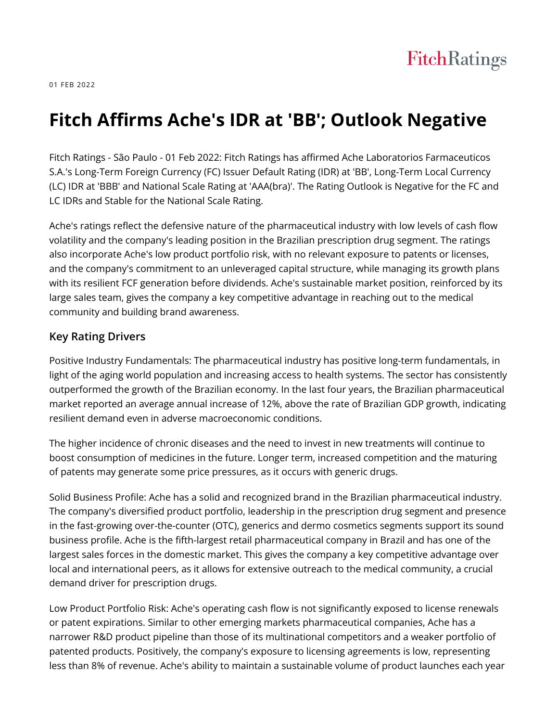01 FEB 2022

# **Fitch Affirms Ache's IDR at 'BB'; Outlook Negative**

Fitch Ratings - São Paulo - 01 Feb 2022: Fitch Ratings has affirmed Ache Laboratorios Farmaceuticos S.A.'s Long-Term Foreign Currency (FC) Issuer Default Rating (IDR) at 'BB', Long-Term Local Currency (LC) IDR at 'BBB' and National Scale Rating at 'AAA(bra)'. The Rating Outlook is Negative for the FC and LC IDRs and Stable for the National Scale Rating.

Ache's ratings reflect the defensive nature of the pharmaceutical industry with low levels of cash flow volatility and the company's leading position in the Brazilian prescription drug segment. The ratings also incorporate Ache's low product portfolio risk, with no relevant exposure to patents or licenses, and the company's commitment to an unleveraged capital structure, while managing its growth plans with its resilient FCF generation before dividends. Ache's sustainable market position, reinforced by its large sales team, gives the company a key competitive advantage in reaching out to the medical community and building brand awareness.

#### **Key Rating Drivers**

Positive Industry Fundamentals: The pharmaceutical industry has positive long-term fundamentals, in light of the aging world population and increasing access to health systems. The sector has consistently outperformed the growth of the Brazilian economy. In the last four years, the Brazilian pharmaceutical market reported an average annual increase of 12%, above the rate of Brazilian GDP growth, indicating resilient demand even in adverse macroeconomic conditions.

The higher incidence of chronic diseases and the need to invest in new treatments will continue to boost consumption of medicines in the future. Longer term, increased competition and the maturing of patents may generate some price pressures, as it occurs with generic drugs.

Solid Business Profile: Ache has a solid and recognized brand in the Brazilian pharmaceutical industry. The company's diversified product portfolio, leadership in the prescription drug segment and presence in the fast-growing over-the-counter (OTC), generics and dermo cosmetics segments support its sound business profile. Ache is the fifth-largest retail pharmaceutical company in Brazil and has one of the largest sales forces in the domestic market. This gives the company a key competitive advantage over local and international peers, as it allows for extensive outreach to the medical community, a crucial demand driver for prescription drugs.

Low Product Portfolio Risk: Ache's operating cash flow is not significantly exposed to license renewals or patent expirations. Similar to other emerging markets pharmaceutical companies, Ache has a narrower R&D product pipeline than those of its multinational competitors and a weaker portfolio of patented products. Positively, the company's exposure to licensing agreements is low, representing less than 8% of revenue. Ache's ability to maintain a sustainable volume of product launches each year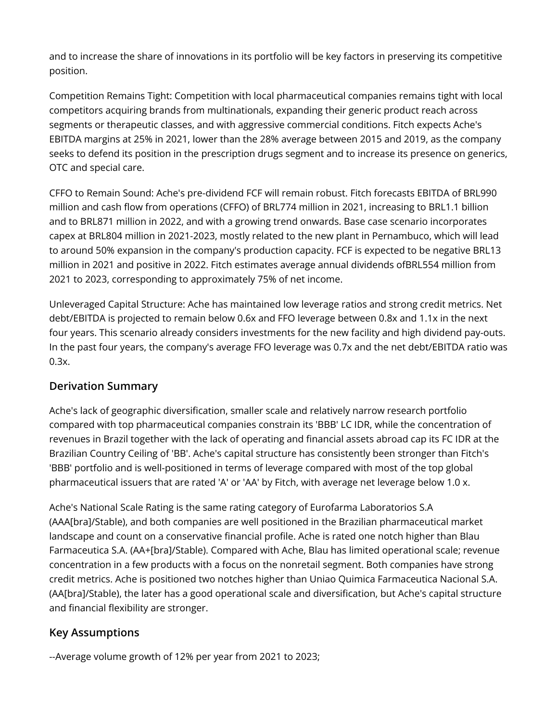and to increase the share of innovations in its portfolio will be key factors in preserving its competitive position.

Competition Remains Tight: Competition with local pharmaceutical companies remains tight with local competitors acquiring brands from multinationals, expanding their generic product reach across segments or therapeutic classes, and with aggressive commercial conditions. Fitch expects Ache's EBITDA margins at 25% in 2021, lower than the 28% average between 2015 and 2019, as the company seeks to defend its position in the prescription drugs segment and to increase its presence on generics, OTC and special care.

CFFO to Remain Sound: Ache's pre-dividend FCF will remain robust. Fitch forecasts EBITDA of BRL990 million and cash flow from operations (CFFO) of BRL774 million in 2021, increasing to BRL1.1 billion and to BRL871 million in 2022, and with a growing trend onwards. Base case scenario incorporates capex at BRL804 million in 2021-2023, mostly related to the new plant in Pernambuco, which will lead to around 50% expansion in the company's production capacity. FCF is expected to be negative BRL13 million in 2021 and positive in 2022. Fitch estimates average annual dividends ofBRL554 million from 2021 to 2023, corresponding to approximately 75% of net income.

Unleveraged Capital Structure: Ache has maintained low leverage ratios and strong credit metrics. Net debt/EBITDA is projected to remain below 0.6x and FFO leverage between 0.8x and 1.1x in the next four years. This scenario already considers investments for the new facility and high dividend pay-outs. In the past four years, the company's average FFO leverage was 0.7x and the net debt/EBITDA ratio was 0.3x.

# **Derivation Summary**

Ache's lack of geographic diversification, smaller scale and relatively narrow research portfolio compared with top pharmaceutical companies constrain its 'BBB' LC IDR, while the concentration of revenues in Brazil together with the lack of operating and financial assets abroad cap its FC IDR at the Brazilian Country Ceiling of 'BB'. Ache's capital structure has consistently been stronger than Fitch's 'BBB' portfolio and is well-positioned in terms of leverage compared with most of the top global pharmaceutical issuers that are rated 'A' or 'AA' by Fitch, with average net leverage below 1.0 x.

Ache's National Scale Rating is the same rating category of Eurofarma Laboratorios S.A (AAA[bra]/Stable), and both companies are well positioned in the Brazilian pharmaceutical market landscape and count on a conservative financial profile. Ache is rated one notch higher than Blau Farmaceutica S.A. (AA+[bra]/Stable). Compared with Ache, Blau has limited operational scale; revenue concentration in a few products with a focus on the nonretail segment. Both companies have strong credit metrics. Ache is positioned two notches higher than Uniao Quimica Farmaceutica Nacional S.A. (AA[bra]/Stable), the later has a good operational scale and diversification, but Ache's capital structure and financial flexibility are stronger.

# **Key Assumptions**

--Average volume growth of 12% per year from 2021 to 2023;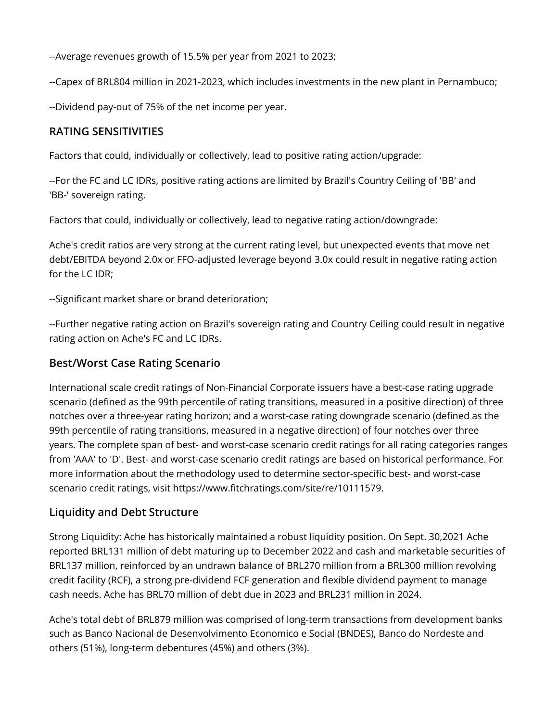--Average revenues growth of 15.5% per year from 2021 to 2023;

--Capex of BRL804 million in 2021-2023, which includes investments in the new plant in Pernambuco;

--Dividend pay-out of 75% of the net income per year.

#### **RATING SENSITIVITIES**

Factors that could, individually or collectively, lead to positive rating action/upgrade:

--For the FC and LC IDRs, positive rating actions are limited by Brazil's Country Ceiling of 'BB' and 'BB-' sovereign rating.

Factors that could, individually or collectively, lead to negative rating action/downgrade:

Ache's credit ratios are very strong at the current rating level, but unexpected events that move net debt/EBITDA beyond 2.0x or FFO-adjusted leverage beyond 3.0x could result in negative rating action for the LC IDR;

--Significant market share or brand deterioration;

--Further negative rating action on Brazil's sovereign rating and Country Ceiling could result in negative rating action on Ache's FC and LC IDRs.

## **Best/Worst Case Rating Scenario**

International scale credit ratings of Non-Financial Corporate issuers have a best-case rating upgrade scenario (defined as the 99th percentile of rating transitions, measured in a positive direction) of three notches over a three-year rating horizon; and a worst-case rating downgrade scenario (defined as the 99th percentile of rating transitions, measured in a negative direction) of four notches over three years. The complete span of best- and worst-case scenario credit ratings for all rating categories ranges from 'AAA' to 'D'. Best- and worst-case scenario credit ratings are based on historical performance. For more information about the methodology used to determine sector-specific best- and worst-case scenario credit ratings, visit https://www.fitchratings.com/site/re/10111579.

#### **Liquidity and Debt Structure**

Strong Liquidity: Ache has historically maintained a robust liquidity position. On Sept. 30,2021 Ache reported BRL131 million of debt maturing up to December 2022 and cash and marketable securities of BRL137 million, reinforced by an undrawn balance of BRL270 million from a BRL300 million revolving credit facility (RCF), a strong pre-dividend FCF generation and flexible dividend payment to manage cash needs. Ache has BRL70 million of debt due in 2023 and BRL231 million in 2024.

Ache's total debt of BRL879 million was comprised of long-term transactions from development banks such as Banco Nacional de Desenvolvimento Economico e Social (BNDES), Banco do Nordeste and others (51%), long-term debentures (45%) and others (3%).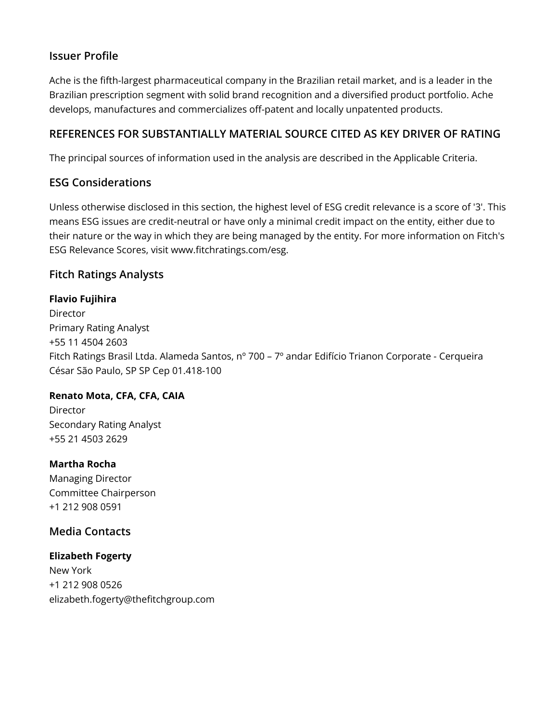# **Issuer Profile**

Ache is the fifth-largest pharmaceutical company in the Brazilian retail market, and is a leader in the Brazilian prescription segment with solid brand recognition and a diversified product portfolio. Ache develops, manufactures and commercializes off-patent and locally unpatented products.

## **REFERENCES FOR SUBSTANTIALLY MATERIAL SOURCE CITED AS KEY DRIVER OF RATING**

The principal sources of information used in the analysis are described in the Applicable Criteria.

## **ESG Considerations**

Unless otherwise disclosed in this section, the highest level of ESG credit relevance is a score of '3'. This means ESG issues are credit-neutral or have only a minimal credit impact on the entity, either due to their nature or the way in which they are being managed by the entity. For more information on Fitch's ESG Relevance Scores, visit www.fitchratings.com/esg.

## **Fitch Ratings Analysts**

#### **Flavio Fujihira**

**Director** Primary Rating Analyst +55 11 4504 2603 Fitch Ratings Brasil Ltda. Alameda Santos, nº 700 – 7º andar Edifício Trianon Corporate - Cerqueira César São Paulo, SP SP Cep 01.418-100

## **Renato Mota, CFA, CFA, CAIA**

**Director** Secondary Rating Analyst +55 21 4503 2629

## **Martha Rocha**

Managing Director Committee Chairperson +1 212 908 0591

## **Media Contacts**

**Elizabeth Fogerty** New York +1 212 908 0526 elizabeth.fogerty@thefitchgroup.com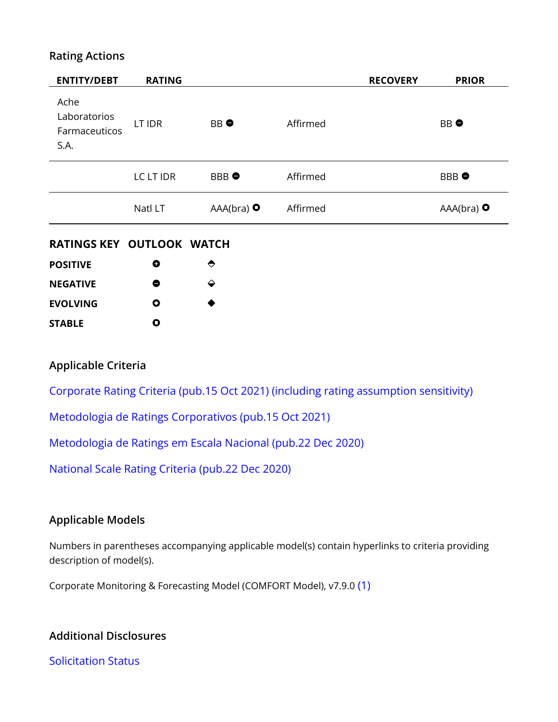# **Rating Actions**

| <b>ENTITY/DEBT</b>                            | <b>RATING</b> |                     |          | <b>RECOVERY</b> | <b>PRIOR</b>        |
|-----------------------------------------------|---------------|---------------------|----------|-----------------|---------------------|
| Ache<br>Laboratorios<br>Farmaceuticos<br>S.A. | LT IDR        | <b>BB</b> ●         | Affirmed |                 | <b>BB</b>           |
|                                               | LC LT IDR     | <b>BBB</b> ●        | Affirmed |                 | <b>BBB</b> ●        |
|                                               | Natl LT       | $AA(bra)$ $\bullet$ | Affirmed |                 | $AA(bra)$ $\bullet$ |
| <b>RATINGS KEY OUTLOOK WATCH</b>              |               |                     |          |                 |                     |
| <b>POSITIVE</b>                               | €             | $\blacklozenge$     |          |                 |                     |
| <b>NEGATIVE</b>                               | θ             | ♦                   |          |                 |                     |

| <b>EVOLVING</b> | Ο |
|-----------------|---|
| <b>STABLE</b>   | О |

# **Applicable Criteria**

[Corporate Rating Criteria \(pub.15 Oct 2021\) \(including rating assumption sensitivity\)](https://app.fitchconnect.com/search/research/article/RPT_10179877)

[Metodologia de Ratings Corporativos \(pub.15 Oct 2021\)](https://app.fitchconnect.com/search/research/article/RPT_10181212)

[Metodologia de Ratings em Escala Nacional \(pub.22 Dec 2020\)](https://app.fitchconnect.com/search/research/article/RPT_10147245)

[National Scale Rating Criteria \(pub.22 Dec 2020\)](https://app.fitchconnect.com/search/research/article/RPT_10146648)

# **Applicable Models**

Numbers in parentheses accompanying applicable model(s) contain hyperlinks to criteria providing description of model(s).

Corporate Monitoring & Forecasting Model (COMFORT Model), v7.9.0 [\(1\)](https://app.fitchconnect.com/search/research/article/RPT_1003019)

# **Additional Disclosures**

[Solicitation Status](https://www.fitchratings.com/research/corporate-finance/fitch-affirms-ache-idr-at-bb-outlook-negative-01-02-2022#solicitation-status)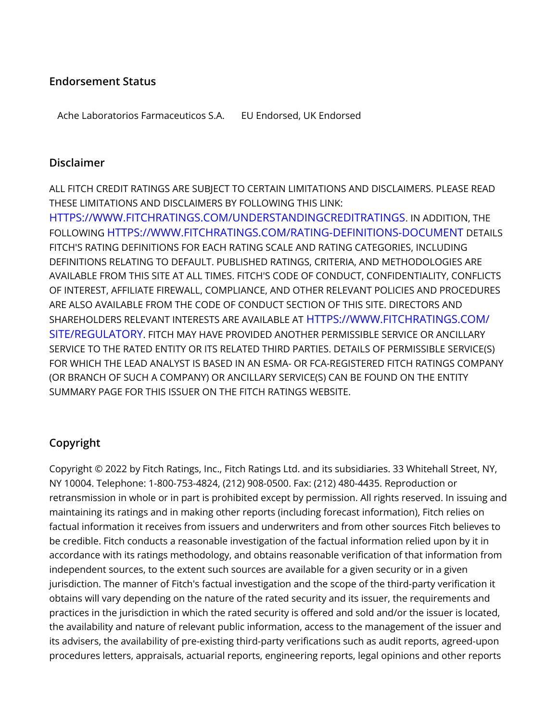#### **Endorsement Status**

Ache Laboratorios Farmaceuticos S.A. EU Endorsed, UK Endorsed

#### **Disclaimer**

ALL FITCH CREDIT RATINGS ARE SUBJECT TO CERTAIN LIMITATIONS AND DISCLAIMERS. PLEASE READ THESE LIMITATIONS AND DISCLAIMERS BY FOLLOWING THIS LINK: [HTTPS://WWW.FITCHRATINGS.COM/UNDERSTANDINGCREDITRATINGS](https://www.fitchratings.com/UNDERSTANDINGCREDITRATINGS). IN ADDITION, THE FOLLOWING [HTTPS://WWW.FITCHRATINGS.COM/RATING-DEFINITIONS-DOCUMENT](https://www.fitchratings.com/rating-definitions-document) DETAILS FITCH'S RATING DEFINITIONS FOR EACH RATING SCALE AND RATING CATEGORIES, INCLUDING DEFINITIONS RELATING TO DEFAULT. PUBLISHED RATINGS, CRITERIA, AND METHODOLOGIES ARE AVAILABLE FROM THIS SITE AT ALL TIMES. FITCH'S CODE OF CONDUCT, CONFIDENTIALITY, CONFLICTS OF INTEREST, AFFILIATE FIREWALL, COMPLIANCE, AND OTHER RELEVANT POLICIES AND PROCEDURES ARE ALSO AVAILABLE FROM THE CODE OF CONDUCT SECTION OF THIS SITE. DIRECTORS AND SHAREHOLDERS RELEVANT INTERESTS ARE AVAILABLE AT [HTTPS://WWW.FITCHRATINGS.COM/](https://www.fitchratings.com/site/regulatory) [SITE/REGULATORY](https://www.fitchratings.com/site/regulatory). FITCH MAY HAVE PROVIDED ANOTHER PERMISSIBLE SERVICE OR ANCILLARY SERVICE TO THE RATED ENTITY OR ITS RELATED THIRD PARTIES. DETAILS OF PERMISSIBLE SERVICE(S) FOR WHICH THE LEAD ANALYST IS BASED IN AN ESMA- OR FCA-REGISTERED FITCH RATINGS COMPANY (OR BRANCH OF SUCH A COMPANY) OR ANCILLARY SERVICE(S) CAN BE FOUND ON THE ENTITY SUMMARY PAGE FOR THIS ISSUER ON THE FITCH RATINGS WEBSITE.

## **Copyright**

Copyright © 2022 by Fitch Ratings, Inc., Fitch Ratings Ltd. and its subsidiaries. 33 Whitehall Street, NY, NY 10004. Telephone: 1-800-753-4824, (212) 908-0500. Fax: (212) 480-4435. Reproduction or retransmission in whole or in part is prohibited except by permission. All rights reserved. In issuing and maintaining its ratings and in making other reports (including forecast information), Fitch relies on factual information it receives from issuers and underwriters and from other sources Fitch believes to be credible. Fitch conducts a reasonable investigation of the factual information relied upon by it in accordance with its ratings methodology, and obtains reasonable verification of that information from independent sources, to the extent such sources are available for a given security or in a given jurisdiction. The manner of Fitch's factual investigation and the scope of the third-party verification it obtains will vary depending on the nature of the rated security and its issuer, the requirements and practices in the jurisdiction in which the rated security is offered and sold and/or the issuer is located, the availability and nature of relevant public information, access to the management of the issuer and its advisers, the availability of pre-existing third-party verifications such as audit reports, agreed-upon procedures letters, appraisals, actuarial reports, engineering reports, legal opinions and other reports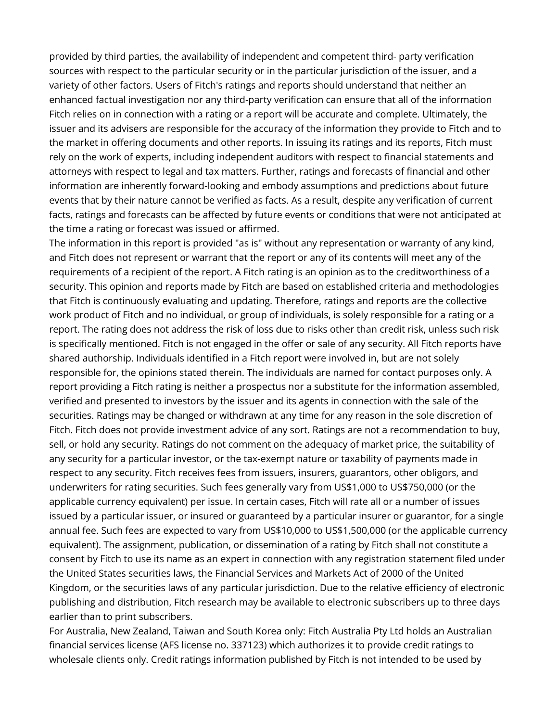provided by third parties, the availability of independent and competent third- party verification sources with respect to the particular security or in the particular jurisdiction of the issuer, and a variety of other factors. Users of Fitch's ratings and reports should understand that neither an enhanced factual investigation nor any third-party verification can ensure that all of the information Fitch relies on in connection with a rating or a report will be accurate and complete. Ultimately, the issuer and its advisers are responsible for the accuracy of the information they provide to Fitch and to the market in offering documents and other reports. In issuing its ratings and its reports, Fitch must rely on the work of experts, including independent auditors with respect to financial statements and attorneys with respect to legal and tax matters. Further, ratings and forecasts of financial and other information are inherently forward-looking and embody assumptions and predictions about future events that by their nature cannot be verified as facts. As a result, despite any verification of current facts, ratings and forecasts can be affected by future events or conditions that were not anticipated at the time a rating or forecast was issued or affirmed.

The information in this report is provided "as is" without any representation or warranty of any kind, and Fitch does not represent or warrant that the report or any of its contents will meet any of the requirements of a recipient of the report. A Fitch rating is an opinion as to the creditworthiness of a security. This opinion and reports made by Fitch are based on established criteria and methodologies that Fitch is continuously evaluating and updating. Therefore, ratings and reports are the collective work product of Fitch and no individual, or group of individuals, is solely responsible for a rating or a report. The rating does not address the risk of loss due to risks other than credit risk, unless such risk is specifically mentioned. Fitch is not engaged in the offer or sale of any security. All Fitch reports have shared authorship. Individuals identified in a Fitch report were involved in, but are not solely responsible for, the opinions stated therein. The individuals are named for contact purposes only. A report providing a Fitch rating is neither a prospectus nor a substitute for the information assembled, verified and presented to investors by the issuer and its agents in connection with the sale of the securities. Ratings may be changed or withdrawn at any time for any reason in the sole discretion of Fitch. Fitch does not provide investment advice of any sort. Ratings are not a recommendation to buy, sell, or hold any security. Ratings do not comment on the adequacy of market price, the suitability of any security for a particular investor, or the tax-exempt nature or taxability of payments made in respect to any security. Fitch receives fees from issuers, insurers, guarantors, other obligors, and underwriters for rating securities. Such fees generally vary from US\$1,000 to US\$750,000 (or the applicable currency equivalent) per issue. In certain cases, Fitch will rate all or a number of issues issued by a particular issuer, or insured or guaranteed by a particular insurer or guarantor, for a single annual fee. Such fees are expected to vary from US\$10,000 to US\$1,500,000 (or the applicable currency equivalent). The assignment, publication, or dissemination of a rating by Fitch shall not constitute a consent by Fitch to use its name as an expert in connection with any registration statement filed under the United States securities laws, the Financial Services and Markets Act of 2000 of the United Kingdom, or the securities laws of any particular jurisdiction. Due to the relative efficiency of electronic publishing and distribution, Fitch research may be available to electronic subscribers up to three days earlier than to print subscribers.

For Australia, New Zealand, Taiwan and South Korea only: Fitch Australia Pty Ltd holds an Australian financial services license (AFS license no. 337123) which authorizes it to provide credit ratings to wholesale clients only. Credit ratings information published by Fitch is not intended to be used by